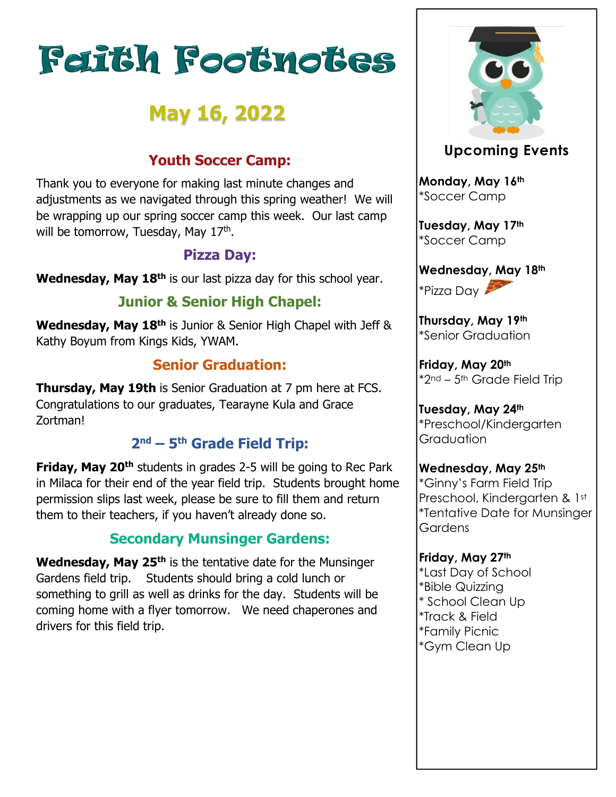# **Feith Footnotes**

# **May 16, 2022**

### **Youth Soccer Camp:**

Thank you to everyone for making last minute changes and adjustments as we navigated through this spring weather! We will be wrapping up our spring soccer camp this week. Our last camp will be tomorrow, Tuesday, May 17<sup>th</sup>.

#### **Pizza Day:**

**Wednesday, May 18th** is our last pizza day for this school year.

## **Junior & Senior High Chapel:**

**Wednesday, May 18th** is Junior & Senior High Chapel with Jeff & Kathy Boyum from Kings Kids, YWAM.

#### **Senior Graduation:**

**Thursday, May 19th** is Senior Graduation at 7 pm here at FCS. Congratulations to our graduates, Tearayne Kula and Grace Zortman!

#### **2 nd – 5 th Grade Field Trip:**

**Friday, May 20th** students in grades 2-5 will be going to Rec Park in Milaca for their end of the year field trip. Students brought home permission slips last week, please be sure to fill them and return them to their teachers, if you haven't already done so.

#### **Secondary Munsinger Gardens:**

**Wednesday, May 25th** is the tentative date for the Munsinger Gardens field trip. Students should bring a cold lunch or something to grill as well as drinks for the day. Students will be coming home with a flyer tomorrow. We need chaperones and drivers for this field trip.



#### **Upcoming Events**

**Monday, May 16th** \*Soccer Camp

**Tuesday, May 17th** \*Soccer Camp

**Wednesday, May 18th** \*Pizza Day

**Thursday, May 19th** \*Senior Graduation

**Friday, May 20th** \*2nd – 5th Grade Field Trip

**Tuesday, May 24th** \*Preschool/Kindergarten Graduation

**Wednesday, May 25th** \*Ginny's Farm Field Trip Preschool, Kindergarten & 1st \*Tentative Date for Munsinger **Gardens** 

**Friday, May 27th** \*Last Day of School \*Bible Quizzing \* School Clean Up \*Track & Field \*Family Picnic \*Gym Clean Up